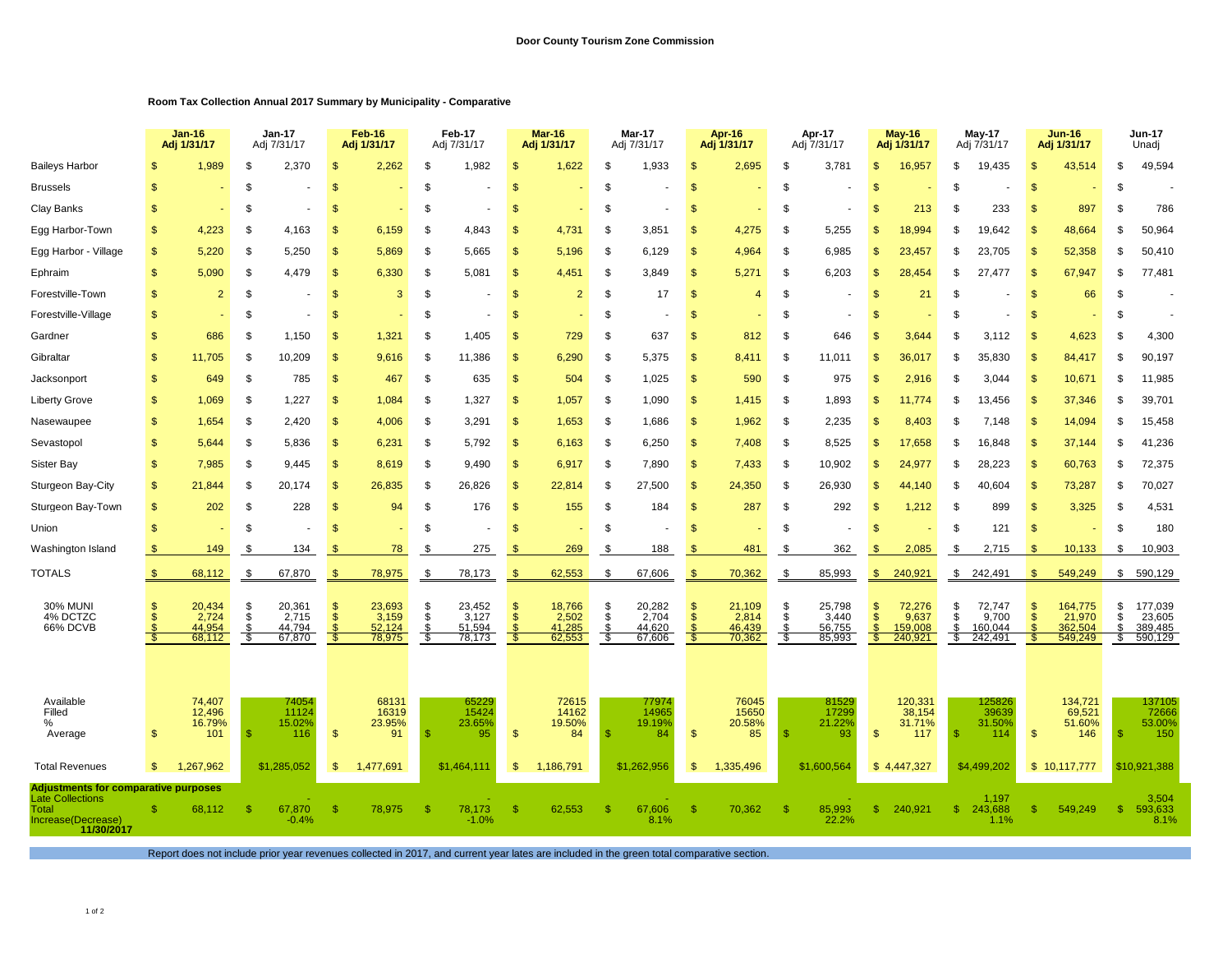## **Room Tax Collection Annual 2017 Summary by Municipality - Comparative**

|                                                                                                                     |              | <b>Jan-16</b><br>Adj 1/31/17        |                        | <b>Jan-17</b><br>Adj 7/31/17        |                         | <b>Feb-16</b><br>Adj 1/31/17        |                      | Feb-17<br>Adj 7/31/17               |                                            | <b>Mar-16</b><br>Adj 1/31/17        |                             | Mar-17<br>Adj 7/31/17               |                                       | Apr-16<br>Adj 1/31/17               |                          | Apr-17<br>Adj 7/31/17               |                         | May-16<br>Adj 1/31/17                 |                      | May-17<br>Adj 7/31/17                 | <b>Jun-16</b><br>Adj 1/31/17 |                                         | Jun-17<br>Unadj        |                                         |
|---------------------------------------------------------------------------------------------------------------------|--------------|-------------------------------------|------------------------|-------------------------------------|-------------------------|-------------------------------------|----------------------|-------------------------------------|--------------------------------------------|-------------------------------------|-----------------------------|-------------------------------------|---------------------------------------|-------------------------------------|--------------------------|-------------------------------------|-------------------------|---------------------------------------|----------------------|---------------------------------------|------------------------------|-----------------------------------------|------------------------|-----------------------------------------|
| <b>Baileys Harbor</b>                                                                                               |              | 1.989                               | \$                     | 2.370                               |                         | 2.262                               |                      | 1,982                               | ி                                          | 1.622                               | \$.                         | 1,933                               | \$                                    | 2,695                               | \$                       | 3,781                               | \$                      | 16,957                                | \$                   | 19,435                                | Я                            | 43,514                                  | \$                     | 49,594                                  |
| <b>Brussels</b>                                                                                                     | -SS          |                                     | \$                     |                                     |                         |                                     |                      |                                     | <b>S</b>                                   |                                     | \$.                         |                                     | \$                                    |                                     | \$                       |                                     | $\mathbf{s}$            |                                       | \$                   |                                       | £.                           |                                         | \$                     |                                         |
| Clay Banks                                                                                                          | \$.          |                                     | \$                     |                                     |                         |                                     | -S                   |                                     | -S                                         |                                     | \$                          |                                     | <b>S</b>                              |                                     | \$                       |                                     | \$.                     | 213                                   | \$.                  | 233                                   | S.                           | 897                                     | \$                     | 786                                     |
| Egg Harbor-Town                                                                                                     | \$           | 4,223                               | \$                     | 4,163                               | -\$                     | 6,159                               | -S                   | 4,843                               | $\mathbb{S}$                               | 4,731                               | \$                          | 3,851                               | \$                                    | 4,275                               | \$                       | 5,255                               | \$                      | 18,994                                | \$.                  | 19.642                                | \$                           | 48,664                                  | \$                     | 50,964                                  |
| Egg Harbor - Village                                                                                                | \$           | 5,220                               | Ŝ.                     | 5,250                               |                         | 5,869                               | -S                   | 5,665                               | \$                                         | 5,196                               | \$                          | 6,129                               | \$                                    | 4,964                               | -\$                      | 6,985                               | \$                      | 23,457                                | \$                   | 23,705                                | S.                           | 52,358                                  | \$                     | 50,410                                  |
| Ephraim                                                                                                             | \$           | 5,090                               | \$                     | 4,479                               | - \$                    | 6,330                               | -S                   | 5,081                               | \$                                         | 4,451                               | \$                          | 3,849                               | $\mathfrak{s}$                        | 5,271                               | -\$                      | 6,203                               | \$                      | 28,454                                | \$                   | 27,477                                | -S                           | 67,947                                  | \$                     | 77,481                                  |
| Forestville-Town                                                                                                    | \$           | $\overline{2}$                      | \$                     |                                     | \$                      | 3                                   | S.                   |                                     | $\mathbb{S}$                               | $\overline{2}$                      | \$                          | 17                                  | $\frac{1}{2}$                         | 4                                   | \$                       |                                     | \$                      | 21                                    | \$                   |                                       | S.                           | 66                                      | \$                     |                                         |
| Forestville-Village                                                                                                 | \$           |                                     | \$                     |                                     | - \$                    |                                     | S.                   |                                     | \$                                         |                                     | \$                          |                                     | $\mathsf{\$}$                         |                                     | \$                       |                                     | $\mathbf{s}$            |                                       | \$                   |                                       | \$                           |                                         | \$                     |                                         |
| Gardner                                                                                                             | \$           | 686                                 | \$                     | 1,150                               | \$                      | 1,321                               | \$                   | 1,405                               | \$                                         | 729                                 | \$                          | 637                                 | $\frac{1}{2}$                         | 812                                 | \$                       | 646                                 | $\mathbf{s}$            | 3,644                                 | \$                   | 3,112                                 | <sup>\$</sup>                | 4,623                                   | \$                     | 4,300                                   |
| Gibraltar                                                                                                           | $\mathbf{s}$ | 11.705                              | \$                     | 0,209                               | -96                     | 9.616                               | -S                   | 11,386                              | <b>S</b>                                   | 6,290                               | S.                          | 5,375                               | $\mathbf{s}$                          | 8,411                               | \$                       | 11,011                              | \$                      | 36.017                                | \$.                  | 35,830                                | \$                           | 84,417                                  | \$                     | 90,197                                  |
| Jacksonport                                                                                                         | \$           | 649                                 | \$                     | 785                                 | $\mathbf{\mathfrak{L}}$ | 467                                 | \$                   | 635                                 | \$                                         | 504                                 | \$                          | 1,025                               | $\mathbf{\$}$                         | 590                                 | \$                       | 975                                 | \$.                     | 2,916                                 | \$                   | 3.044                                 | $\mathfrak{s}$               | 10,671                                  | \$                     | 11,985                                  |
| <b>Liberty Grove</b>                                                                                                | \$           | 1.069                               | \$                     | 1.227                               | -\$                     | 1,084                               | -S                   | 1,327                               | $\mathbb{S}$                               | 1,057                               | \$                          | 1,090                               | $\mathbf{\$}$                         | 1,415                               | \$                       | 1,893                               | \$.                     | 11.774                                | \$.                  | 13.456                                | \$                           | 37,346                                  | \$                     | 39,701                                  |
| Nasewaupee                                                                                                          | \$           | 1,654                               | \$                     | 2,420                               | -\$                     | 4,006                               | \$                   | 3,291                               | $\mathbb{S}$                               | 1,653                               | \$                          | 1,686                               | $\mathbf{\$}$                         | 1,962                               | \$                       | 2,235                               | $\mathbf{s}$            | 8,403                                 | \$                   | 7,148                                 | \$                           | 14,094                                  | \$                     | 15,458                                  |
| Sevastopol                                                                                                          | \$           | 5,644                               | \$                     | 5,836                               |                         | 6,231                               | -S                   | 5,792                               | $\mathbb{S}$                               | 6,163                               | \$                          | 6,250                               | $\mathbf{\$}$                         | 7,408                               | \$                       | 8,525                               | \$                      | 17,658                                | \$                   | 16,848                                | \$                           | 37,144                                  | \$                     | 41,236                                  |
| <b>Sister Bay</b>                                                                                                   | \$           | 7,985                               | \$                     | 9,445                               | - \$                    | 8,619                               | -S                   | 9,490                               | $\mathbb{S}$                               | 6,917                               | \$                          | 7,890                               | \$                                    | 7,433                               | \$                       | 10,902                              | \$                      | 24,977                                | \$                   | 28,223                                | \$                           | 60,763                                  | \$                     | 72,375                                  |
| Sturgeon Bay-City                                                                                                   | \$           | 21,844                              | \$                     | 20,174                              | -S                      | 26,835                              | - 35                 | 26,826                              | $\mathfrak{s}$                             | 22,814                              | \$                          | 27,500                              | $\mathbf{\$}$                         | 24,350                              | \$                       | 26,930                              | $\mathfrak{s}$          | 44,140                                | S                    | 40,604                                | $\mathfrak{s}$               | 73,287                                  | - \$                   | 70,027                                  |
| Sturgeon Bay-Town                                                                                                   | \$           | 202                                 | \$                     | 228                                 | \$                      | 94                                  | S.                   | 176                                 | $\mathfrak{s}$                             | 155                                 | \$                          | 184                                 | $\frac{1}{2}$                         | 287                                 | \$                       | 292                                 | \$                      | 1,212                                 | \$                   | 899                                   | $\mathsf{\$}$                | 3,325                                   | \$                     | 4,531                                   |
| Union                                                                                                               | \$           |                                     | \$                     |                                     | -\$                     |                                     | S.                   |                                     | \$                                         |                                     | \$                          |                                     | $\mathcal{S}$                         |                                     | \$                       |                                     | \$                      |                                       | \$                   | 121                                   | $\mathsf{\$}$                |                                         | \$                     | 180                                     |
| Washington Island                                                                                                   | S            | 149                                 | \$                     | 134                                 |                         | 78                                  | - \$                 | 275                                 |                                            | 269                                 | S.                          | 188                                 | \$                                    | 481                                 | \$                       | 362                                 | \$                      | 2,085                                 | \$                   | 2,715                                 | \$                           | 10,133                                  | \$                     | 10,903                                  |
| <b>TOTALS</b>                                                                                                       | \$.          | 68,112                              | \$.                    | 67,870                              | -\$                     | 78,975                              | Я.                   | 78,173                              | \$                                         | 62,553                              | S.                          | 67,606                              | \$                                    | 70,362                              | \$                       | 85,993                              | \$                      | 240,921                               | \$                   | 242,491                               | \$.                          | 549,249                                 | $\frac{1}{2}$          | 590,129                                 |
| 30% MUNI<br>4% DCTZC<br>66% DCVB                                                                                    | S.<br>S      | 20,434<br>2,724<br>44,954<br>68,112 | \$<br>\$<br>\$<br>- \$ | 20,361<br>2,715<br>44,794<br>67,870 | - SS                    | 23,693<br>3,159<br>52,124<br>78,975 | -5<br>\$<br>\$<br>-S | 23,452<br>3,127<br>51,594<br>78,173 | \$<br>$\mathbf{s}$<br>$\mathbb{S}$<br>- 96 | 18,766<br>2,502<br>41,285<br>62,553 | $\frac{1}{3}$<br>\$<br>- \$ | 20,282<br>2,704<br>44,620<br>67,606 | S<br>$\mathbf{S}$<br><b>S</b><br>- \$ | 21,109<br>2,814<br>46,439<br>70,362 | \$<br>\$<br>- \$<br>- \$ | 25,798<br>3,440<br>56,755<br>85,993 | \$<br>$\mathbf S$<br>-S | 72,276<br>9,637<br>159,008<br>240,921 | \$<br>\$<br>\$<br>s. | 72,747<br>9,700<br>160,044<br>242,491 | S<br>$\mathfrak{L}$<br>S.    | 164,775<br>21,970<br>362,504<br>549,249 | - \$<br>\$<br>\$<br>S. | 177,039<br>23,605<br>389,485<br>590,129 |
| Available<br>Filled<br>%<br>Average                                                                                 | \$.          | 74,407<br>12,496<br>16.79%<br>101   | -\$                    | 74054<br>11124<br>15.02%<br>116     | -\$                     | 68131<br>16319<br>23.95%<br>91      |                      | 65229<br>15424<br>23.65%<br>95      | $\mathbb{S}$                               | 72615<br>14162<br>19.50%<br>84      | \$                          | 77974<br>14965<br>19.19%<br>84      | $\mathbf{\$}$                         | 76045<br>15650<br>20.58%<br>85      | -S                       | 81529<br>17299<br>21.22%<br>93      | \$                      | 120,331<br>38,154<br>31.71%<br>117    | -S                   | 125826<br>39639<br>31.50%<br>114      | $\mathfrak{s}$               | 134,721<br>69,521<br>51.60%<br>146      | -\$                    | 137105<br>72666<br>53.00%<br>150        |
| <b>Total Revenues</b>                                                                                               | \$           | 1,267,962                           |                        | \$1,285,052                         | \$                      | 1,477,691                           |                      | \$1,464,111                         | $\mathfrak{F}$                             | 1,186,791                           |                             | \$1,262,956                         | $\mathbb{S}$                          | 1,335,496                           |                          | \$1,600,564                         |                         | \$4,447,327                           |                      | \$4,499,202                           |                              | \$10,117,777                            |                        | \$10,921,388                            |
| <b>Adjustments for comparative purposes</b><br><b>Late Collections</b><br>Total<br>Increase(Decrease)<br>11/30/2017 |              | 68,112                              | S                      | 67,870<br>$-0.4%$                   |                         | 78,975                              |                      | 78,173<br>$-1.0%$                   | <b>S</b>                                   | 62.553                              | ி                           | 67,606<br>8.1%                      | $\mathcal{S}$                         | 70,362                              | -S                       | 85,993<br>22.2%                     | $\mathbb{S}$            | 240.921                               | $\mathbb{S}$         | 1,197<br>243.688<br>1.1%              | £.                           | 549.249                                 | $\mathbf{s}$           | 3,504<br>593,633<br>8.1%                |

Report does not include prior year revenues collected in 2017, and current year lates are included in the green total comparative section.